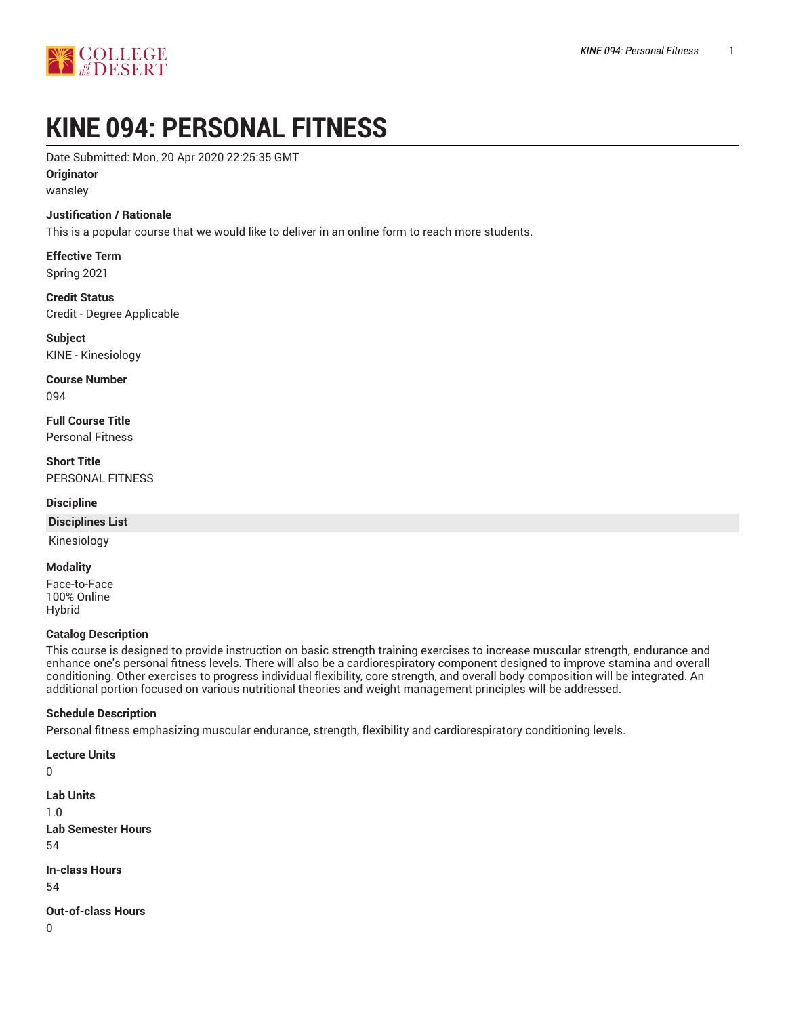

# **KINE 094: PERSONAL FITNESS**

Date Submitted: Mon, 20 Apr 2020 22:25:35 GMT

#### **Originator**

wansley

#### **Justification / Rationale**

This is a popular course that we would like to deliver in an online form to reach more students.

**Effective Term** Spring 2021

**Credit Status** Credit - Degree Applicable

**Subject** KINE - Kinesiology

**Course Number** 094

**Full Course Title** Personal Fitness

**Short Title** PERSONAL FITNESS

#### **Discipline**

#### **Disciplines List**

Kinesiology

#### **Modality**

Face-to-Face 100% Online Hybrid

#### **Catalog Description**

This course is designed to provide instruction on basic strength training exercises to increase muscular strength, endurance and enhance one's personal fitness levels. There will also be a cardiorespiratory component designed to improve stamina and overall conditioning. Other exercises to progress individual flexibility, core strength, and overall body composition will be integrated. An additional portion focused on various nutritional theories and weight management principles will be addressed.

#### **Schedule Description**

Personal fitness emphasizing muscular endurance, strength, flexibility and cardiorespiratory conditioning levels.

**Lecture Units**

```
\Omega
```

```
Lab Units
1.0
```
**Lab Semester Hours** 54

**In-class Hours** 54

**Out-of-class Hours**

0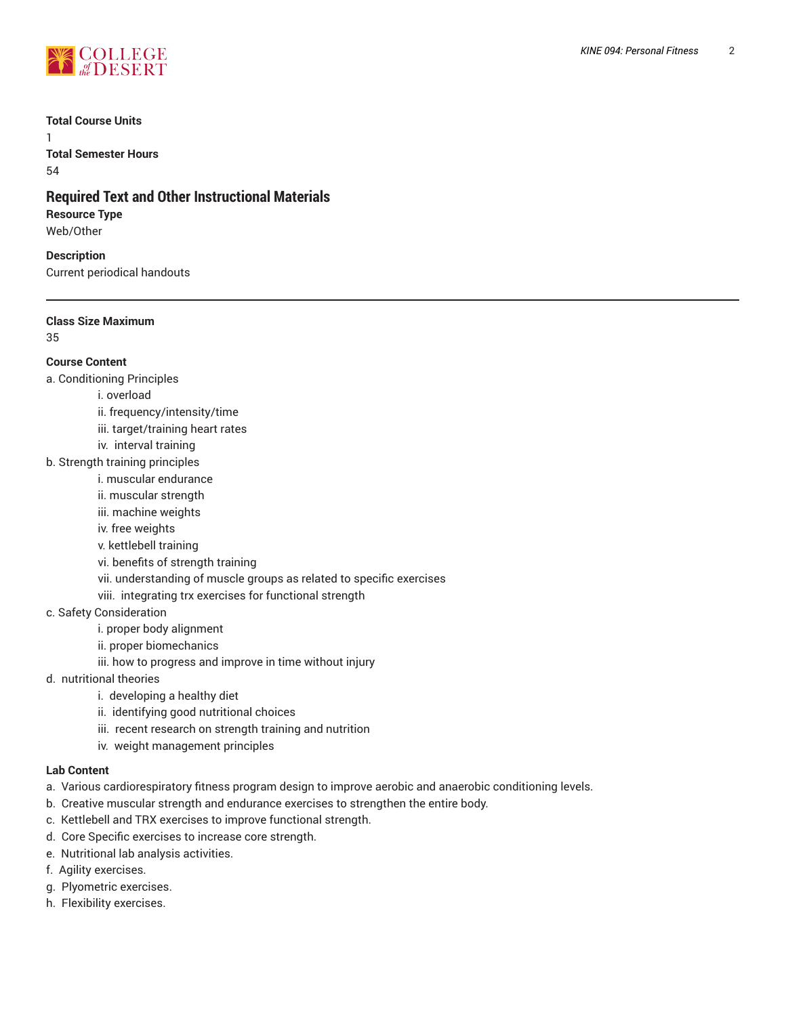

#### **Total Course Units**

1 **Total Semester Hours** 54

# **Required Text and Other Instructional Materials**

# **Resource Type**

Web/Other

**Description** Current periodical handouts

## **Class Size Maximum**

35

# **Course Content**

a. Conditioning Principles

- i. overload
- ii. frequency/intensity/time
- iii. target/training heart rates
- iv. interval training
- b. Strength training principles
	- i. muscular endurance
	- ii. muscular strength
	- iii. machine weights
	- iv. free weights
	- v. kettlebell training
	- vi. benefits of strength training
	- vii. understanding of muscle groups as related to specific exercises

viii. integrating trx exercises for functional strength

- c. Safety Consideration
	- i. proper body alignment
	- ii. proper biomechanics
	- iii. how to progress and improve in time without injury
- d. nutritional theories
	- i. developing a healthy diet
		- ii. identifying good nutritional choices
		- iii. recent research on strength training and nutrition
		- iv. weight management principles

## **Lab Content**

- a. Various cardiorespiratory fitness program design to improve aerobic and anaerobic conditioning levels.
- b. Creative muscular strength and endurance exercises to strengthen the entire body.
- c. Kettlebell and TRX exercises to improve functional strength.
- d. Core Specific exercises to increase core strength.
- e. Nutritional lab analysis activities.
- f. Agility exercises.
- g. Plyometric exercises.
- h. Flexibility exercises.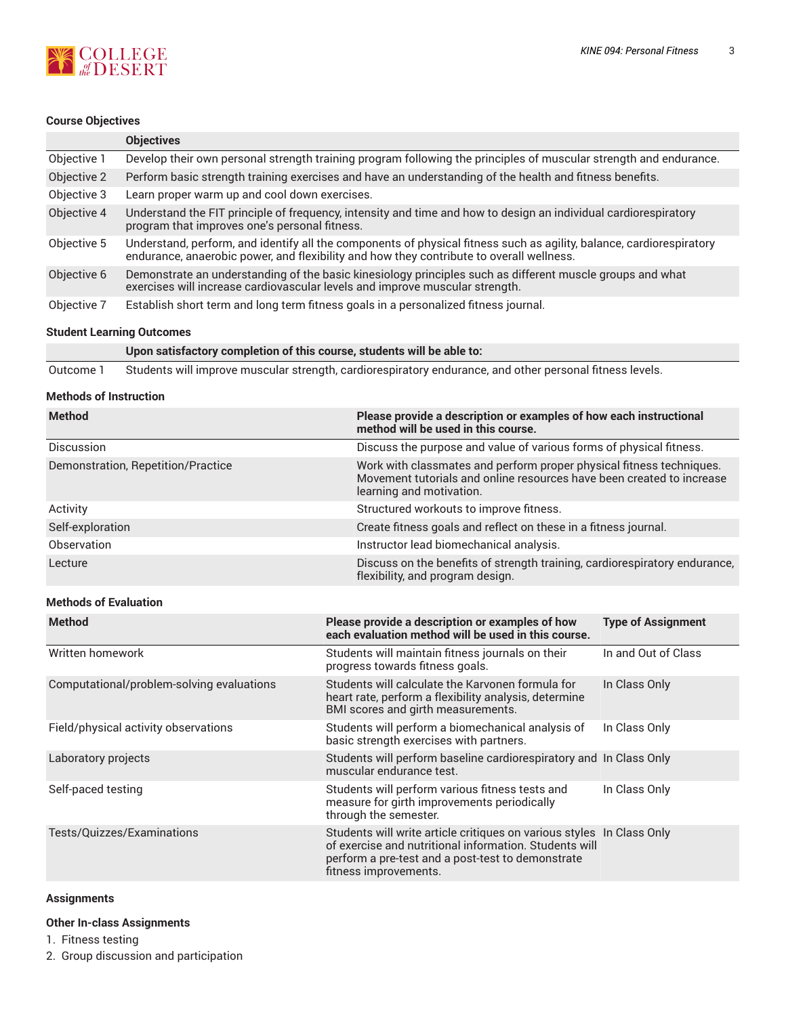

# **Course Objectives**

|             | <b>Objectives</b>                                                                                                                                                                                                |  |
|-------------|------------------------------------------------------------------------------------------------------------------------------------------------------------------------------------------------------------------|--|
| Objective 1 | Develop their own personal strength training program following the principles of muscular strength and endurance.                                                                                                |  |
| Objective 2 | Perform basic strength training exercises and have an understanding of the health and fitness benefits.                                                                                                          |  |
| Objective 3 | Learn proper warm up and cool down exercises.                                                                                                                                                                    |  |
| Objective 4 | Understand the FIT principle of frequency, intensity and time and how to design an individual cardiorespiratory<br>program that improves one's personal fitness.                                                 |  |
| Objective 5 | Understand, perform, and identify all the components of physical fitness such as agility, balance, cardiorespiratory<br>endurance, anaerobic power, and flexibility and how they contribute to overall wellness. |  |
| Objective 6 | Demonstrate an understanding of the basic kinesiology principles such as different muscle groups and what<br>exercises will increase cardiovascular levels and improve muscular strength.                        |  |
| Objective 7 | Establish short term and long term fitness goals in a personalized fitness journal.                                                                                                                              |  |

#### **Student Learning Outcomes**

|           | Upon satisfactory completion of this course, students will be able to:                                   |
|-----------|----------------------------------------------------------------------------------------------------------|
| Outcome 1 | Students will improve muscular strength, cardiorespiratory endurance, and other personal fitness levels. |

#### **Methods of Instruction**

| <b>Method</b>                             | Please provide a description or examples of how each instructional<br>method will be used in this course.                                                                                                     |                           |  |
|-------------------------------------------|---------------------------------------------------------------------------------------------------------------------------------------------------------------------------------------------------------------|---------------------------|--|
| Discussion                                | Discuss the purpose and value of various forms of physical fitness.                                                                                                                                           |                           |  |
| Demonstration, Repetition/Practice        | Work with classmates and perform proper physical fitness techniques.<br>Movement tutorials and online resources have been created to increase<br>learning and motivation.                                     |                           |  |
| Activity                                  | Structured workouts to improve fitness.                                                                                                                                                                       |                           |  |
| Self-exploration                          | Create fitness goals and reflect on these in a fitness journal.                                                                                                                                               |                           |  |
| Observation                               | Instructor lead biomechanical analysis.                                                                                                                                                                       |                           |  |
| Lecture                                   | Discuss on the benefits of strength training, cardiorespiratory endurance,<br>flexibility, and program design.                                                                                                |                           |  |
| <b>Methods of Evaluation</b>              |                                                                                                                                                                                                               |                           |  |
| <b>Method</b>                             | Please provide a description or examples of how<br>each evaluation method will be used in this course.                                                                                                        | <b>Type of Assignment</b> |  |
| Written homework                          | Students will maintain fitness journals on their<br>progress towards fitness goals.                                                                                                                           | In and Out of Class       |  |
| Computational/problem-solving evaluations | Students will calculate the Karvonen formula for<br>heart rate, perform a flexibility analysis, determine<br>BMI scores and girth measurements.                                                               | In Class Only             |  |
| Field/physical activity observations      | Students will perform a biomechanical analysis of<br>basic strength exercises with partners.                                                                                                                  | In Class Only             |  |
| Laboratory projects                       | Students will perform baseline cardiorespiratory and In Class Only<br>muscular endurance test.                                                                                                                |                           |  |
| Self-paced testing                        | Students will perform various fitness tests and<br>measure for girth improvements periodically<br>through the semester.                                                                                       | In Class Only             |  |
| Tests/Quizzes/Examinations                | Students will write article critiques on various styles In Class Only<br>of exercise and nutritional information. Students will<br>perform a pre-test and a post-test to demonstrate<br>fitness improvements. |                           |  |

#### **Assignments**

#### **Other In-class Assignments**

1. Fitness testing

2. Group discussion and participation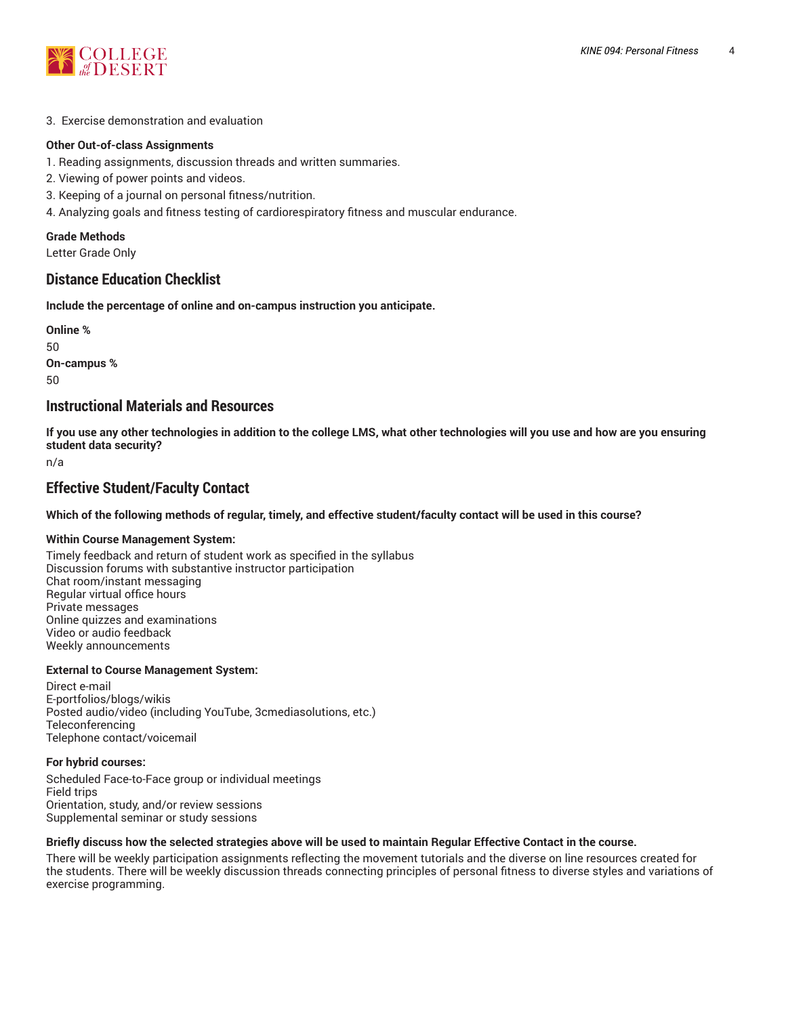

#### 3. Exercise demonstration and evaluation

#### **Other Out-of-class Assignments**

- 1. Reading assignments, discussion threads and written summaries.
- 2. Viewing of power points and videos.
- 3. Keeping of a journal on personal fitness/nutrition.
- 4. Analyzing goals and fitness testing of cardiorespiratory fitness and muscular endurance.

# **Grade Methods**

Letter Grade Only

# **Distance Education Checklist**

**Include the percentage of online and on-campus instruction you anticipate.**

**Online %** 50 **On-campus %** 50

# **Instructional Materials and Resources**

If you use any other technologies in addition to the college LMS, what other technologies will you use and how are you ensuring **student data security?**

n/a

# **Effective Student/Faculty Contact**

Which of the following methods of regular, timely, and effective student/faculty contact will be used in this course?

#### **Within Course Management System:**

Timely feedback and return of student work as specified in the syllabus Discussion forums with substantive instructor participation Chat room/instant messaging Regular virtual office hours Private messages Online quizzes and examinations Video or audio feedback Weekly announcements

#### **External to Course Management System:**

Direct e-mail E-portfolios/blogs/wikis Posted audio/video (including YouTube, 3cmediasolutions, etc.) **Teleconferencing** Telephone contact/voicemail

#### **For hybrid courses:**

Scheduled Face-to-Face group or individual meetings Field trips Orientation, study, and/or review sessions Supplemental seminar or study sessions

#### Briefly discuss how the selected strategies above will be used to maintain Regular Effective Contact in the course.

There will be weekly participation assignments reflecting the movement tutorials and the diverse on line resources created for the students. There will be weekly discussion threads connecting principles of personal fitness to diverse styles and variations of exercise programming.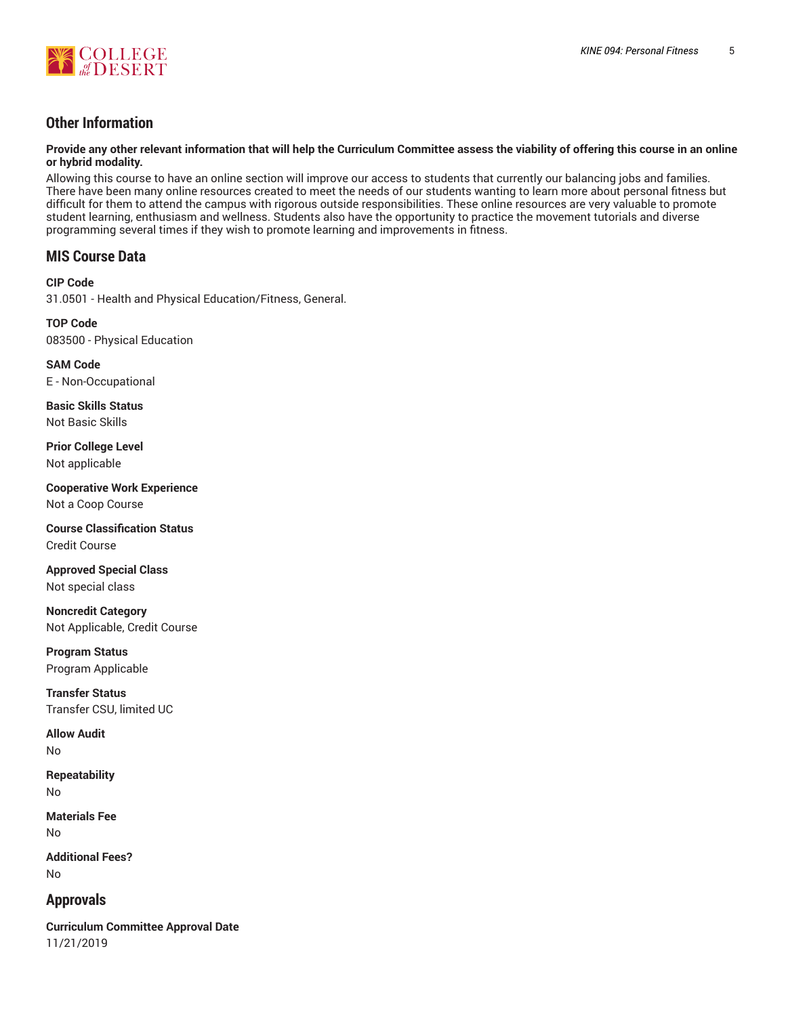

# **Other Information**

Provide any other relevant information that will help the Curriculum Committee assess the viability of offering this course in an online **or hybrid modality.**

Allowing this course to have an online section will improve our access to students that currently our balancing jobs and families. There have been many online resources created to meet the needs of our students wanting to learn more about personal fitness but difficult for them to attend the campus with rigorous outside responsibilities. These online resources are very valuable to promote student learning, enthusiasm and wellness. Students also have the opportunity to practice the movement tutorials and diverse programming several times if they wish to promote learning and improvements in fitness.

# **MIS Course Data**

**CIP Code** 31.0501 - Health and Physical Education/Fitness, General.

**TOP Code** 083500 - Physical Education

**SAM Code** E - Non-Occupational

**Basic Skills Status** Not Basic Skills

**Prior College Level** Not applicable

**Cooperative Work Experience** Not a Coop Course

**Course Classification Status** Credit Course

**Approved Special Class** Not special class

**Noncredit Category** Not Applicable, Credit Course

**Program Status** Program Applicable

**Transfer Status** Transfer CSU, limited UC

**Allow Audit** No

**Repeatability** No

**Materials Fee** No

**Additional Fees?** No

# **Approvals**

**Curriculum Committee Approval Date** 11/21/2019